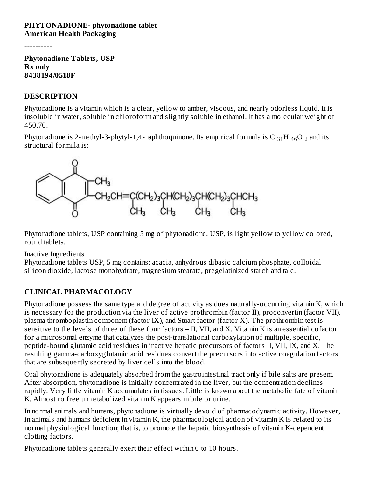#### **PHYTONADIONE- phytonadione tablet American Health Packaging**

----------

**Phytonadione Tablets, USP Rx only 8438194/0518F**

#### **DESCRIPTION**

Phytonadione is a vitamin which is a clear, yellow to amber, viscous, and nearly odorless liquid. It is insoluble in water, soluble in chloroform and slightly soluble in ethanol. It has a molecular weight of 450.70.

Phytonadione is 2-methyl-3-phytyl-1,4-naphthoquinone. Its empirical formula is  $C_{31}H_{46}O_2$  and its structural formula is:



Phytonadione tablets, USP containing 5 mg of phytonadione, USP, is light yellow to yellow colored, round tablets.

#### Inactive Ingredients

Phytonadione tablets USP, 5 mg contains: acacia, anhydrous dibasic calcium phosphate, colloidal silicon dioxide, lactose monohydrate, magnesium stearate, pregelatinized starch and talc.

## **CLINICAL PHARMACOLOGY**

Phytonadione possess the same type and degree of activity as does naturally-occurring vitamin K, which is necessary for the production via the liver of active prothrombin (factor II), proconvertin (factor VII), plasma thromboplastin component (factor IX), and Stuart factor (factor X). The prothrombin test is sensitive to the levels of three of these four factors – II, VII, and X. Vitamin K is an essential cofactor for a microsomal enzyme that catalyzes the post-translational carboxylation of multiple, specific, peptide-bound glutamic acid residues in inactive hepatic precursors of factors II, VII, IX, and X. The resulting gamma-carboxyglutamic acid residues convert the precursors into active coagulation factors that are subsequently secreted by liver cells into the blood.

Oral phytonadione is adequately absorbed from the gastrointestinal tract only if bile salts are present. After absorption, phytonadione is initially concentrated in the liver, but the concentration declines rapidly. Very little vitamin K accumulates in tissues. Little is known about the metabolic fate of vitamin K. Almost no free unmetabolized vitamin K appears in bile or urine.

In normal animals and humans, phytonadione is virtually devoid of pharmacodynamic activity. However, in animals and humans deficient in vitamin K, the pharmacological action of vitamin K is related to its normal physiological function; that is, to promote the hepatic biosynthesis of vitamin K-dependent clotting factors.

Phytonadione tablets generally exert their effect within 6 to 10 hours.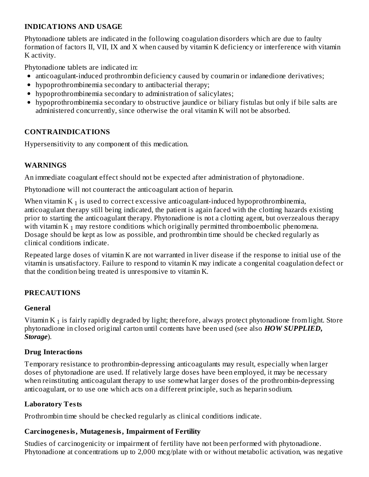#### **INDICATIONS AND USAGE**

Phytonadione tablets are indicated in the following coagulation disorders which are due to faulty formation of factors II, VII, IX and X when caused by vitamin K deficiency or interference with vitamin K activity.

Phytonadione tablets are indicated in:

- anticoagulant-induced prothrombin deficiency caused by coumarin or indanedione derivatives;
- hypoprothrombinemia secondary to antibacterial therapy;
- hypoprothrombinemia secondary to administration of salicylates;
- hypoprothrombinemia secondary to obstructive jaundice or biliary fistulas but only if bile salts are administered concurrently, since otherwise the oral vitamin K will not be absorbed.

## **CONTRAINDICATIONS**

Hypersensitivity to any component of this medication.

#### **WARNINGS**

An immediate coagulant effect should not be expected after administration of phytonadione.

Phytonadione will not counteract the anticoagulant action of heparin.

When vitamin K  $_1$  is used to correct excessive anticoagulant-induced hypoprothrombinemia, anticoagulant therapy still being indicated, the patient is again faced with the clotting hazards existing prior to starting the anticoagulant therapy. Phytonadione is not a clotting agent, but overzealous therapy with vitamin K  $_1$  may restore conditions which originally permitted thromboembolic phenomena. Dosage should be kept as low as possible, and prothrombin time should be checked regularly as clinical conditions indicate.

Repeated large doses of vitamin K are not warranted in liver disease if the response to initial use of the vitamin is unsatisfactory. Failure to respond to vitamin K may indicate a congenital coagulation defect or that the condition being treated is unresponsive to vitamin K.

## **PRECAUTIONS**

## **General**

Vitamin K  $_1$  is fairly rapidly degraded by light; therefore, always protect phytonadione from light. Store phytonadione in closed original carton until contents have been used (see also *HOW SUPPLIED, Storage*).

## **Drug Interactions**

Temporary resistance to prothrombin-depressing anticoagulants may result, especially when larger doses of phytonadione are used. If relatively large doses have been employed, it may be necessary when reinstituting anticoagulant therapy to use somewhat larger doses of the prothrombin-depressing anticoagulant, or to use one which acts on a different principle, such as heparin sodium.

## **Laboratory Tests**

Prothrombin time should be checked regularly as clinical conditions indicate.

## **Carcinogenesis, Mutagenesis, Impairment of Fertility**

Studies of carcinogenicity or impairment of fertility have not been performed with phytonadione. Phytonadione at concentrations up to 2,000 mcg/plate with or without metabolic activation, was negative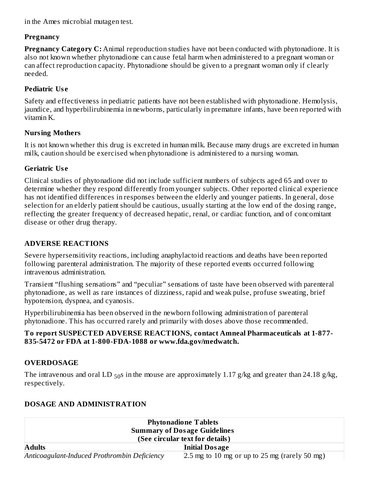in the Ames microbial mutagen test.

#### **Pregnancy**

**Pregnancy Category C:** Animal reproduction studies have not been conducted with phytonadione. It is also not known whether phytonadione can cause fetal harm when administered to a pregnant woman or can affect reproduction capacity. Phytonadione should be given to a pregnant woman only if clearly needed.

## **Pediatric Us e**

Safety and effectiveness in pediatric patients have not been established with phytonadione. Hemolysis, jaundice, and hyperbilirubinemia in newborns, particularly in premature infants, have been reported with vitamin K.

## **Nursing Mothers**

It is not known whether this drug is excreted in human milk. Because many drugs are excreted in human milk, caution should be exercised when phytonadione is administered to a nursing woman.

## **Geriatric Us e**

Clinical studies of phytonadione did not include sufficient numbers of subjects aged 65 and over to determine whether they respond differently from younger subjects. Other reported clinical experience has not identified differences in responses between the elderly and younger patients. In general, dose selection for an elderly patient should be cautious, usually starting at the low end of the dosing range, reflecting the greater frequency of decreased hepatic, renal, or cardiac function, and of concomitant disease or other drug therapy.

## **ADVERSE REACTIONS**

Severe hypersensitivity reactions, including anaphylactoid reactions and deaths have been reported following parenteral administration. The majority of these reported events occurred following intravenous administration.

Transient "flushing sensations" and "peculiar" sensations of taste have been observed with parenteral phytonadione, as well as rare instances of dizziness, rapid and weak pulse, profuse sweating, brief hypotension, dyspnea, and cyanosis.

Hyperbilirubinemia has been observed in the newborn following administration of parenteral phytonadione. This has occurred rarely and primarily with doses above those recommended.

#### **To report SUSPECTED ADVERSE REACTIONS, contact Amneal Pharmaceuticals at 1-877- 835-5472 or FDA at 1-800-FDA-1088 or www.fda.gov/medwatch.**

## **OVERDOSAGE**

The intravenous and oral LD  $_{50}$ s in the mouse are approximately 1.17 g/kg and greater than 24.18 g/kg, respectively.

## **DOSAGE AND ADMINISTRATION**

| <b>Phytonadione Tablets</b><br><b>Summary of Dosage Guidelines</b> |                                                 |  |  |  |
|--------------------------------------------------------------------|-------------------------------------------------|--|--|--|
| (See circular text for details)                                    |                                                 |  |  |  |
| <b>Adults</b><br><b>Initial Dosage</b>                             |                                                 |  |  |  |
| Anticoagulant-Induced Prothrombin Deficiency                       | $2.5$ mg to 10 mg or up to 25 mg (rarely 50 mg) |  |  |  |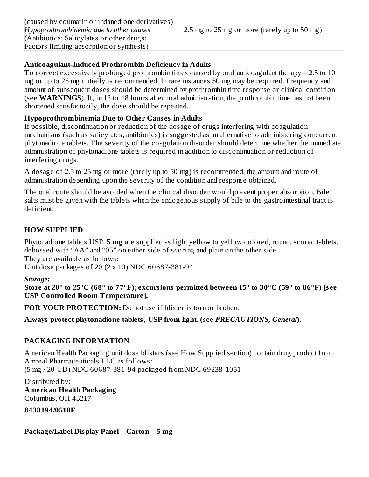| (caused by coumarin or indanedione derivatives) |                                                |
|-------------------------------------------------|------------------------------------------------|
| Hypoprothrombinemia due to other causes         | $2.5$ mg to 25 mg or more (rarely up to 50 mg) |
| (Antibiotics; Salicylates or other drugs;       |                                                |
| Factors limiting absorption or synthesis)       |                                                |

## **Anticoagulant-Induced Prothrombin Deficiency in Adults**

To correct excessively prolonged prothrombin times caused by oral anticoagulant therapy – 2.5 to 10 mg or up to 25 mg initially is recommended. In rare instances 50 mg may be required. Frequency and amount of subsequent doses should be determined by prothrombin time response or clinical condition (see **WARNINGS**). If, in 12 to 48 hours after oral administration, the prothrombin time has not been shortened satisfactorily, the dose should be repeated.

#### **Hypoprothrombinemia Due to Other Caus es in Adults**

If possible, discontinuation or reduction of the dosage of drugs interfering with coagulation mechanisms (such as salicylates, antibiotics) is suggested as an alternative to administering concurrent phytonadione tablets. The severity of the coagulation disorder should determine whether the immediate administration of phytonadione tablets is required in addition to discontinuation or reduction of interfering drugs.

A dosage of 2.5 to 25 mg or more (rarely up to 50 mg) is recommended, the amount and route of administration depending upon the severity of the condition and response obtained.

The oral route should be avoided when the clinical disorder would prevent proper absorption. Bile salts must be given with the tablets when the endogenous supply of bile to the gastrointestinal tract is deficient.

## **HOW SUPPLIED**

Phytonadione tablets USP, **5 mg** are supplied as light yellow to yellow colored, round, scored tablets, debossed with "AA" and "05" on either side of scoring and plain on the other side. They are available as follows: Unit dose packages of 20 (2 x 10) NDC 60687-381-94

#### *Storage:*

Store at 20° to 25°C (68° to 77°F); excursions permitted between 15° to 30°C (59° to 86°F) [see **USP Controlled Room Temperature].**

**FOR YOUR PROTECTION:** Do not use if blister is torn or broken.

**Always protect phytonadione tablets, USP from light. (**see *PRECAUTIONS, General***).**

## **PACKAGING INFORMATION**

American Health Packaging unit dose blisters (see How Supplied section) contain drug product from Amneal Pharmaceuticals LLC as follows: (5 mg / 20 UD) NDC 60687-381-94 packaged from NDC 69238-1051

Distributed by: **American Health Packaging** Columbus, OH 43217

**8438194/0518F**

**Package/Label Display Panel – Carton – 5 mg**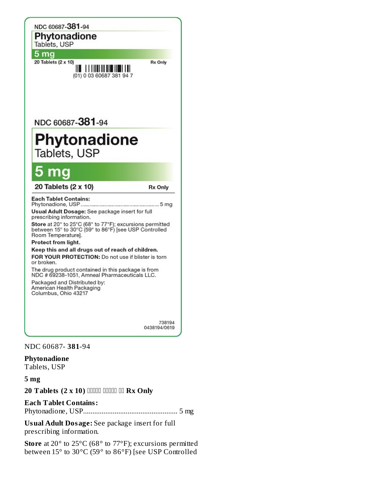

#### NDC 60687- **381**-94

**Phytonadione**

Tablets, USP

**5 mg**

**20 Tablets (2 x 10) Rx Only**

#### **Each Tablet Contains:**

Phytonadione, USP................................................... 5 mg

**Usual Adult Dosage:** See package insert for full prescribing information.

**Store** at 20° to 25°C (68° to 77°F); excursions permitted between 15° to 30°C (59° to 86°F) [see USP Controlled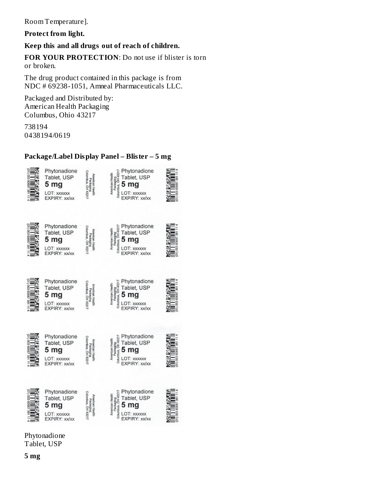Room Temperature].

**Protect from light.**

**Keep this and all drugs out of reach of children.**

**FOR YOUR PROTECTION**: Do not use if blister is torn or broken.

The drug product contained in this package is from NDC # 69238-1051, Amneal Pharmaceuticals LLC.

Packaged and Distributed by: American Health Packaging Columbus, Ohio 43217

738194 0438194/0619

## **Package/Label Display Panel – Blister – 5 mg**



Phytonadione Tablet, USP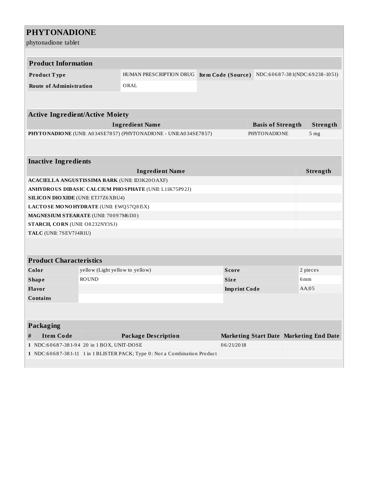# **PHYTONADIONE**

phytonadione tablet

| <b>Product Information</b>                         |                                    |                                                                           |  |              |                     |  |                                                  |
|----------------------------------------------------|------------------------------------|---------------------------------------------------------------------------|--|--------------|---------------------|--|--------------------------------------------------|
| Product Type                                       |                                    | HUMAN PRESCRIPTION DRUG                                                   |  |              |                     |  | Item Code (Source) NDC:60687-381(NDC:69238-1051) |
| <b>Route of Administration</b>                     |                                    | ORAL                                                                      |  |              |                     |  |                                                  |
|                                                    |                                    |                                                                           |  |              |                     |  |                                                  |
| <b>Active Ingredient/Active Moiety</b>             |                                    |                                                                           |  |              |                     |  |                                                  |
| <b>Ingredient Name</b><br><b>Basis of Strength</b> |                                    |                                                                           |  |              | Strength            |  |                                                  |
|                                                    |                                    | PHYTONADIONE (UNII: A034SE7857) (PHYTONADIONE - UNII:A034SE7857)          |  |              | <b>PHYTONADIONE</b> |  | 5 <sub>mg</sub>                                  |
|                                                    |                                    |                                                                           |  |              |                     |  |                                                  |
| <b>Inactive Ingredients</b>                        |                                    |                                                                           |  |              |                     |  |                                                  |
|                                                    | Strength<br><b>Ingredient Name</b> |                                                                           |  |              |                     |  |                                                  |
| ACACIELLA ANGUSTISSIMA BARK (UNII: ID3K20OAXF)     |                                    |                                                                           |  |              |                     |  |                                                  |
|                                                    |                                    | ANHYDROUS DIBASIC CALCIUM PHOSPHATE (UNII: L11K75P92J)                    |  |              |                     |  |                                                  |
| <b>SILICON DIO XIDE (UNII: ETJ7Z6 XBU4)</b>        |                                    |                                                                           |  |              |                     |  |                                                  |
| LACTOSE MONOHYDRATE (UNII: EWQ57Q8I5X)             |                                    |                                                                           |  |              |                     |  |                                                  |
| MAGNESIUM STEARATE (UNII: 70097M6I30)              |                                    |                                                                           |  |              |                     |  |                                                  |
| STARCH, CORN (UNII: O8232NY3SJ)                    |                                    |                                                                           |  |              |                     |  |                                                  |
| TALC (UNII: 7SEV7J4R1U)                            |                                    |                                                                           |  |              |                     |  |                                                  |
|                                                    |                                    |                                                                           |  |              |                     |  |                                                  |
| <b>Product Characteristics</b>                     |                                    |                                                                           |  |              |                     |  |                                                  |
| Color                                              | yellow (Light yellow to yellow)    |                                                                           |  | <b>Score</b> |                     |  | 2 pieces                                         |
| <b>Shape</b>                                       | <b>ROUND</b>                       |                                                                           |  | <b>Size</b>  |                     |  | 6mm                                              |
| Flavor                                             |                                    | $AA$ ;05<br><b>Imprint Code</b>                                           |  |              |                     |  |                                                  |
| Contains                                           |                                    |                                                                           |  |              |                     |  |                                                  |
|                                                    |                                    |                                                                           |  |              |                     |  |                                                  |
| Packaging                                          |                                    |                                                                           |  |              |                     |  |                                                  |
| <b>Item Code</b><br>#                              |                                    | <b>Package Description</b>                                                |  |              |                     |  | Marketing Start Date Marketing End Date          |
| 1 NDC:60687-381-94 20 in 1 BOX, UNIT-DOSE          |                                    |                                                                           |  | 06/21/2018   |                     |  |                                                  |
|                                                    |                                    | 1 NDC:60687-381-11 1 in 1 BLISTER PACK; Type 0: Not a Combination Product |  |              |                     |  |                                                  |
|                                                    |                                    |                                                                           |  |              |                     |  |                                                  |